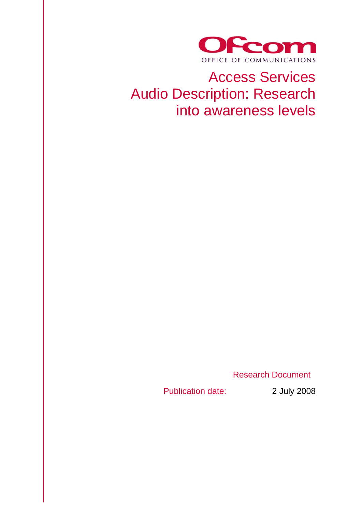

# Access Services Audio Description: Research into awareness levels

Research Document

Publication date: 2 July 2008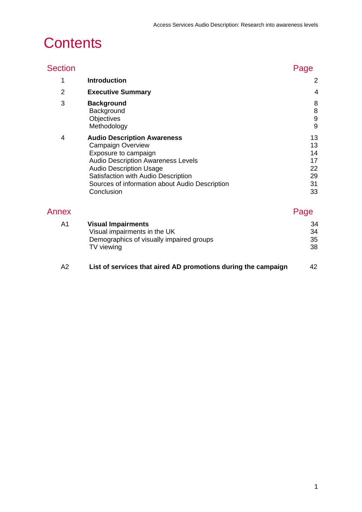# **Contents**

| <b>Section</b> |                                                                                                                                                                                                                                                                              | Page                                         |
|----------------|------------------------------------------------------------------------------------------------------------------------------------------------------------------------------------------------------------------------------------------------------------------------------|----------------------------------------------|
| 1              | <b>Introduction</b>                                                                                                                                                                                                                                                          | $\overline{2}$                               |
| $\overline{2}$ | <b>Executive Summary</b>                                                                                                                                                                                                                                                     | 4                                            |
| 3              | <b>Background</b><br>Background<br>Objectives<br>Methodology                                                                                                                                                                                                                 | 8<br>$\bf 8$<br>$\boldsymbol{9}$<br>9        |
| 4              | <b>Audio Description Awareness</b><br><b>Campaign Overview</b><br>Exposure to campaign<br><b>Audio Description Awareness Levels</b><br><b>Audio Description Usage</b><br>Satisfaction with Audio Description<br>Sources of information about Audio Description<br>Conclusion | 13<br>13<br>14<br>17<br>22<br>29<br>31<br>33 |
| Annex          |                                                                                                                                                                                                                                                                              | Page                                         |
| A1             | <b>Visual Impairments</b><br>Visual impairments in the UK<br>Demographics of visually impaired groups<br>TV viewing                                                                                                                                                          | 34<br>34<br>35<br>38                         |
|                |                                                                                                                                                                                                                                                                              |                                              |

| - A2 | List of services that aired AD promotions during the campaign |  |
|------|---------------------------------------------------------------|--|
|------|---------------------------------------------------------------|--|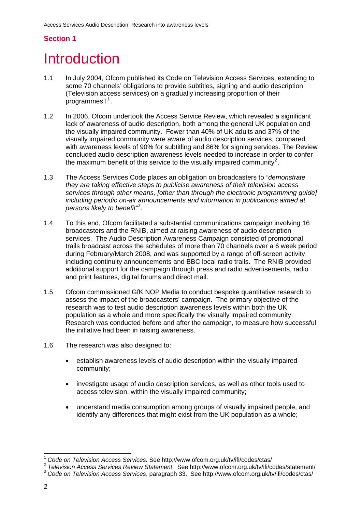# **Section 1**

# **Introduction**

- 1.1 In July 2004, Ofcom published its Code on Television Access Services, extending to some 70 channels' obligations to provide subtitles, signing and audio description (Television access services) on a gradually increasing proportion of their  $programmesT<sup>1</sup>$  $programmesT<sup>1</sup>$  $programmesT<sup>1</sup>$ .
- 1.2 In 2006, Ofcom undertook the Access Service Review, which revealed a significant lack of awareness of audio description, both among the general UK population and the visually impaired community. Fewer than 40% of UK adults and 37% of the visually impaired community were aware of audio description services, compared with awareness levels of 90% for subtitling and 86% for signing services. The Review concluded audio description awareness levels needed to increase in order to confer the maximum benefit of this service to the visually impaired community<sup>[2](#page-2-1)</sup>.
- 1.3 The Access Services Code places an obligation on broadcasters to *"demonstrate they are taking effective steps to publicise awareness of their television access services through other means, [other than through the electronic programming guide] including periodic on-air announcements and information in publications aimed at persons likely to benefit"[3](#page-2-2) .*
- 1.4 To this end, Ofcom facilitated a substantial communications campaign involving 16 broadcasters and the RNIB, aimed at raising awareness of audio description services. The Audio Description Awareness Campaign consisted of promotional trails broadcast across the schedules of more than 70 channels over a 6 week period during February/March 2008, and was supported by a range of off-screen activity including continuity announcements and BBC local radio trails. The RNIB provided additional support for the campaign through press and radio advertisements, radio and print features, digital forums and direct mail.
- 1.5 Ofcom commissioned GfK NOP Media to conduct bespoke quantitative research to assess the impact of the broadcasters' campaign. The primary objective of the research was to test audio description awareness levels within both the UK population as a whole and more specifically the visually impaired community. Research was conducted before and after the campaign, to measure how successful the initiative had been in raising awareness.
- 1.6 The research was also designed to:
	- establish awareness levels of audio description within the visually impaired community;
	- investigate usage of audio description services, as well as other tools used to access television, within the visually impaired community;
	- understand media consumption among groups of visually impaired people, and identify any differences that might exist from the UK population as a whole;

<sup>1</sup> <sup>1</sup> *Code on Television Access Services.* See http://www.ofcom.org.uk/tv/ifi/codes/ctas/

<span id="page-2-2"></span><span id="page-2-1"></span><span id="page-2-0"></span><sup>2</sup> *Television Access Services Review Statement*.See http://www.ofcom.org.uk/tv/ifi/codes/statement/ 3 *Code on Television Access Services*, paragraph 33. See http://www.ofcom.org.uk/tv/ifi/codes/ctas/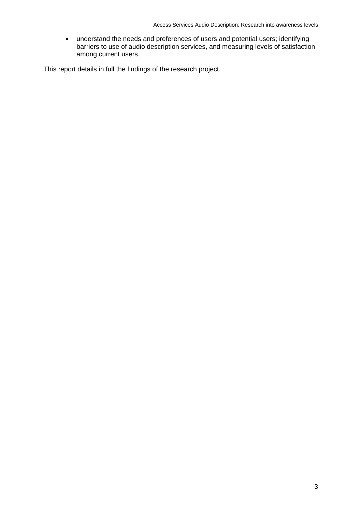• understand the needs and preferences of users and potential users; identifying barriers to use of audio description services, and measuring levels of satisfaction among current users.

This report details in full the findings of the research project.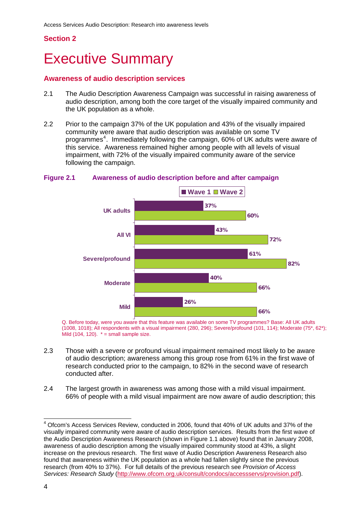# **Section 2**

# **Executive Summary**

## **Awareness of audio description services**

- 2.1 The Audio Description Awareness Campaign was successful in raising awareness of audio description, among both the core target of the visually impaired community and the UK population as a whole.
- 2.2 Prior to the campaign 37% of the UK population and 43% of the visually impaired community were aware that audio description was available on some TV programmes<sup>[4](#page-4-0)</sup>. Immediately following the campaign, 60% of UK adults were aware of this service. Awareness remained higher among people with all levels of visual impairment, with 72% of the visually impaired community aware of the service following the campaign.



#### **Figure 2.1 Awareness of audio description before and after campaign**

Q. Before today, were you aware that this feature was available on some TV programmes? Base: All UK adults (1008, 1018); All respondents with a visual impairment (280, 296); Severe/profound (101, 114); Moderate (75\*, 62\*); Mild (104, 120).  $* =$  small sample size.

- 2.3 Those with a severe or profound visual impairment remained most likely to be aware of audio description; awareness among this group rose from 61% in the first wave of research conducted prior to the campaign, to 82% in the second wave of research conducted after.
- 2.4 The largest growth in awareness was among those with a mild visual impairment. 66% of people with a mild visual impairment are now aware of audio description; this

 $\overline{\phantom{a}}$ 

<span id="page-4-0"></span><sup>&</sup>lt;sup>4</sup> Ofcom's Access Services Review, conducted in 2006, found that 40% of UK adults and 37% of the visually impaired community were aware of audio description services. Results from the first wave of the Audio Description Awareness Research (shown in Figure 1.1 above) found that in January 2008, awareness of audio description among the visually impaired community stood at 43%, a slight increase on the previous research. The first wave of Audio Description Awareness Research also found that awareness within the UK population as a whole had fallen slightly since the previous research (from 40% to 37%). For full details of the previous research see *Provision of Access Services: Research Study* [\(http://www.ofcom.org.uk/consult/condocs/accessservs/provision.pdf](http://www.ofcom.org.uk/consult/condocs/accessservs/provision.pdf)).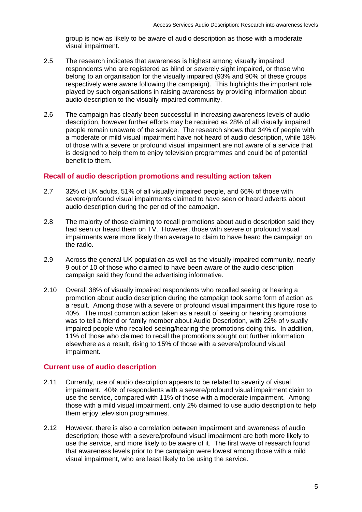group is now as likely to be aware of audio description as those with a moderate visual impairment.

- 2.5 The research indicates that awareness is highest among visually impaired respondents who are registered as blind or severely sight impaired, or those who belong to an organisation for the visually impaired (93% and 90% of these groups respectively were aware following the campaign). This highlights the important role played by such organisations in raising awareness by providing information about audio description to the visually impaired community.
- 2.6 The campaign has clearly been successful in increasing awareness levels of audio description, however further efforts may be required as 28% of all visually impaired people remain unaware of the service. The research shows that 34% of people with a moderate or mild visual impairment have not heard of audio description, while 18% of those with a severe or profound visual impairment are not aware of a service that is designed to help them to enjoy television programmes and could be of potential benefit to them.

# **Recall of audio description promotions and resulting action taken**

- 2.7 32% of UK adults, 51% of all visually impaired people, and 66% of those with severe/profound visual impairments claimed to have seen or heard adverts about audio description during the period of the campaign.
- 2.8 The majority of those claiming to recall promotions about audio description said they had seen or heard them on TV. However, those with severe or profound visual impairments were more likely than average to claim to have heard the campaign on the radio.
- 2.9 Across the general UK population as well as the visually impaired community, nearly 9 out of 10 of those who claimed to have been aware of the audio description campaign said they found the advertising informative.
- 2.10 Overall 38% of visually impaired respondents who recalled seeing or hearing a promotion about audio description during the campaign took some form of action as a result. Among those with a severe or profound visual impairment this figure rose to 40%. The most common action taken as a result of seeing or hearing promotions was to tell a friend or family member about Audio Description, with 22% of visually impaired people who recalled seeing/hearing the promotions doing this. In addition, 11% of those who claimed to recall the promotions sought out further information elsewhere as a result, rising to 15% of those with a severe/profound visual impairment.

# **Current use of audio description**

- 2.11 Currently, use of audio description appears to be related to severity of visual impairment. 40% of respondents with a severe/profound visual impairment claim to use the service, compared with 11% of those with a moderate impairment. Among those with a mild visual impairment, only 2% claimed to use audio description to help them enjoy television programmes.
- 2.12 However, there is also a correlation between impairment and awareness of audio description; those with a severe/profound visual impairment are both more likely to use the service, and more likely to be aware of it. The first wave of research found that awareness levels prior to the campaign were lowest among those with a mild visual impairment, who are least likely to be using the service.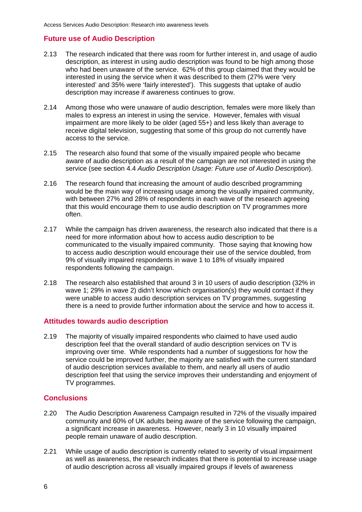# **Future use of Audio Description**

- 2.13 The research indicated that there was room for further interest in, and usage of audio description, as interest in using audio description was found to be high among those who had been unaware of the service. 62% of this group claimed that they would be interested in using the service when it was described to them (27% were 'very interested' and 35% were 'fairly interested'). This suggests that uptake of audio description may increase if awareness continues to grow.
- 2.14 Among those who were unaware of audio description, females were more likely than males to express an interest in using the service. However, females with visual impairment are more likely to be older (aged 55+) and less likely than average to receive digital television, suggesting that some of this group do not currently have access to the service.
- 2.15 The research also found that some of the visually impaired people who became aware of audio description as a result of the campaign are not interested in using the service (see section 4.4 *Audio Description Usage: Future use of Audio Description*).
- 2.16 The research found that increasing the amount of audio described programming would be the main way of increasing usage among the visually impaired community, with between 27% and 28% of respondents in each wave of the research agreeing that this would encourage them to use audio description on TV programmes more often.
- 2.17 While the campaign has driven awareness, the research also indicated that there is a need for more information about how to access audio description to be communicated to the visually impaired community. Those saying that knowing how to access audio description would encourage their use of the service doubled, from 9% of visually impaired respondents in wave 1 to 18% of visually impaired respondents following the campaign.
- 2.18 The research also established that around 3 in 10 users of audio description (32% in wave 1; 29% in wave 2) didn't know which organisation(s) they would contact if they were unable to access audio description services on TV programmes, suggesting there is a need to provide further information about the service and how to access it.

#### **Attitudes towards audio description**

2.19 The majority of visually impaired respondents who claimed to have used audio description feel that the overall standard of audio description services on TV is improving over time. While respondents had a number of suggestions for how the service could be improved further, the majority are satisfied with the current standard of audio description services available to them, and nearly all users of audio description feel that using the service improves their understanding and enjoyment of TV programmes.

# **Conclusions**

- 2.20 The Audio Description Awareness Campaign resulted in 72% of the visually impaired community and 60% of UK adults being aware of the service following the campaign, a significant increase in awareness. However, nearly 3 in 10 visually impaired people remain unaware of audio description.
- 2.21 While usage of audio description is currently related to severity of visual impairment as well as awareness, the research indicates that there is potential to increase usage of audio description across all visually impaired groups if levels of awareness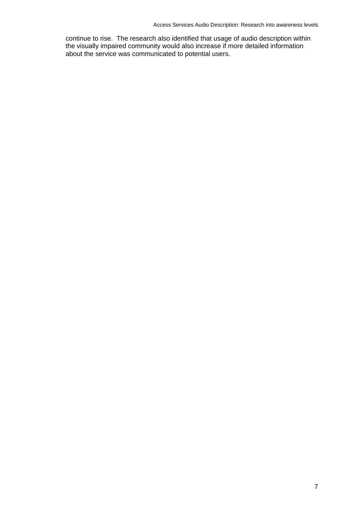continue to rise. The research also identified that usage of audio description within the visually impaired community would also increase if more detailed information about the service was communicated to potential users.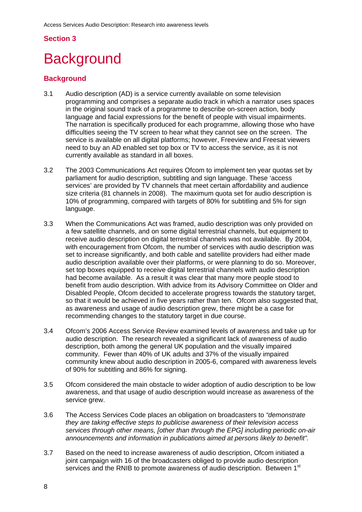# **Section 3**

# **Background**

# **Background**

- 3.1 Audio description (AD) is a service currently available on some television programming and comprises a separate audio track in which a narrator uses spaces in the original sound track of a programme to describe on-screen action, body language and facial expressions for the benefit of people with visual impairments. The narration is specifically produced for each programme, allowing those who have difficulties seeing the TV screen to hear what they cannot see on the screen. The service is available on all digital platforms; however, Freeview and Freesat viewers need to buy an AD enabled set top box or TV to access the service, as it is not currently available as standard in all boxes.
- 3.2 The 2003 Communications Act requires Ofcom to implement ten year quotas set by parliament for audio description, subtitling and sign language. These 'access services' are provided by TV channels that meet certain affordability and audience size criteria (81 channels in 2008). The maximum quota set for audio description is 10% of programming, compared with targets of 80% for subtitling and 5% for sign language.
- 3.3 When the Communications Act was framed, audio description was only provided on a few satellite channels, and on some digital terrestrial channels, but equipment to receive audio description on digital terrestrial channels was not available. By 2004, with encouragement from Ofcom, the number of services with audio description was set to increase significantly, and both cable and satellite providers had either made audio description available over their platforms, or were planning to do so. Moreover, set top boxes equipped to receive digital terrestrial channels with audio description had become available. As a result it was clear that many more people stood to benefit from audio description. With advice from its Advisory Committee on Older and Disabled People, Ofcom decided to accelerate progress towards the statutory target, so that it would be achieved in five years rather than ten. Ofcom also suggested that, as awareness and usage of audio description grew, there might be a case for recommending changes to the statutory target in due course.
- 3.4 Ofcom's 2006 Access Service Review examined levels of awareness and take up for audio description. The research revealed a significant lack of awareness of audio description, both among the general UK population and the visually impaired community. Fewer than 40% of UK adults and 37% of the visually impaired community knew about audio description in 2005-6, compared with awareness levels of 90% for subtitling and 86% for signing.
- 3.5 Ofcom considered the main obstacle to wider adoption of audio description to be low awareness, and that usage of audio description would increase as awareness of the service grew.
- 3.6 The Access Services Code places an obligation on broadcasters to *"demonstrate they are taking effective steps to publicise awareness of their television access services through other means, [other than through the EPG] including periodic on-air announcements and information in publications aimed at persons likely to benefit".*
- 3.7 Based on the need to increase awareness of audio description, Ofcom initiated a joint campaign with 16 of the broadcasters obliged to provide audio description services and the RNIB to promote awareness of audio description. Between 1<sup>st</sup>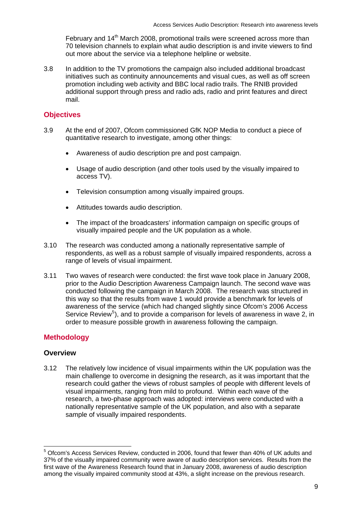February and 14<sup>th</sup> March 2008, promotional trails were screened across more than 70 television channels to explain what audio description is and invite viewers to find out more about the service via a telephone helpline or website.

3.8 In addition to the TV promotions the campaign also included additional broadcast initiatives such as continuity announcements and visual cues, as well as off screen promotion including web activity and BBC local radio trails. The RNIB provided additional support through press and radio ads, radio and print features and direct mail.

# **Objectives**

- 3.9 At the end of 2007, Ofcom commissioned GfK NOP Media to conduct a piece of quantitative research to investigate, among other things:
	- Awareness of audio description pre and post campaign.
	- Usage of audio description (and other tools used by the visually impaired to access TV).
	- Television consumption among visually impaired groups.
	- Attitudes towards audio description.
	- The impact of the broadcasters' information campaign on specific groups of visually impaired people and the UK population as a whole.
- 3.10 The research was conducted among a nationally representative sample of respondents, as well as a robust sample of visually impaired respondents, across a range of levels of visual impairment.
- 3.11 Two waves of research were conducted: the first wave took place in January 2008, prior to the Audio Description Awareness Campaign launch. The second wave was conducted following the campaign in March 2008. The research was structured in this way so that the results from wave 1 would provide a benchmark for levels of awareness of the service (which had changed slightly since Ofcom's 2006 Access Service Review<sup>[5](#page-9-0)</sup>), and to provide a comparison for levels of awareness in wave 2, in order to measure possible growth in awareness following the campaign.

# **Methodology**

# **Overview**

1

3.12 The relatively low incidence of visual impairments within the UK population was the main challenge to overcome in designing the research, as it was important that the research could gather the views of robust samples of people with different levels of visual impairments, ranging from mild to profound. Within each wave of the research, a two-phase approach was adopted: interviews were conducted with a nationally representative sample of the UK population, and also with a separate sample of visually impaired respondents.

<span id="page-9-0"></span><sup>&</sup>lt;sup>5</sup> Ofcom's Access Services Review, conducted in 2006, found that fewer than 40% of UK adults and 37% of the visually impaired community were aware of audio description services. Results from the first wave of the Awareness Research found that in January 2008, awareness of audio description among the visually impaired community stood at 43%, a slight increase on the previous research.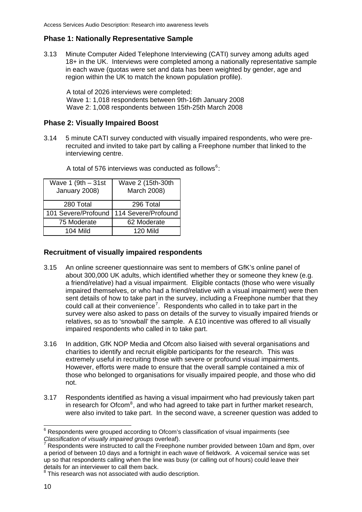# **Phase 1: Nationally Representative Sample**

3.13 Minute Computer Aided Telephone Interviewing (CATI) survey among adults aged 18+ in the UK. Interviews were completed among a nationally representative sample in each wave (quotas were set and data has been weighted by gender, age and region within the UK to match the known population profile).

A total of 2026 interviews were completed: Wave 1: 1,018 respondents between 9th-16th January 2008 Wave 2: 1,008 respondents between 15th-25th March 2008

#### **Phase 2: Visually Impaired Boost**

3.14 5 minute CATI survey conducted with visually impaired respondents, who were prerecruited and invited to take part by calling a Freephone number that linked to the interviewing centre.

| Wave $1(9th - 31st)$<br>January 2008) | Wave 2 (15th-30th<br>March 2008) |
|---------------------------------------|----------------------------------|
| 280 Total                             | 296 Total                        |
| 101 Severe/Profound                   | 114 Severe/Profound              |
| 75 Moderate                           | 62 Moderate                      |
| $104$ Mild                            | <b>120 Mild</b>                  |

A total of 57[6](#page-10-0) interviews was conducted as follows $6$ :

#### **Recruitment of visually impaired respondents**

- 3.15 An online screener questionnaire was sent to members of GfK's online panel of about 300,000 UK adults, which identified whether they or someone they knew (e.g. a friend/relative) had a visual impairment. Eligible contacts (those who were visually impaired themselves, or who had a friend/relative with a visual impairment) were then sent details of how to take part in the survey, including a Freephone number that they could call at their convenience<sup>[7](#page-10-1)</sup>. Respondents who called in to take part in the survey were also asked to pass on details of the survey to visually impaired friends or relatives, so as to 'snowball' the sample. A £10 incentive was offered to all visually impaired respondents who called in to take part.
- 3.16 In addition, GfK NOP Media and Ofcom also liaised with several organisations and charities to identify and recruit eligible participants for the research. This was extremely useful in recruiting those with severe or profound visual impairments. However, efforts were made to ensure that the overall sample contained a mix of those who belonged to organisations for visually impaired people, and those who did not.
- 3.17 Respondents identified as having a visual impairment who had previously taken part in research for Ofcom $<sup>8</sup>$  $<sup>8</sup>$  $<sup>8</sup>$ , and who had agreed to take part in further market research,</sup> were also invited to take part. In the second wave, a screener question was added to

<span id="page-10-0"></span> 6 Respondents were grouped according to Ofcom's classification of visual impairments (see *Classification of visually impaired groups* overleaf). 7

<span id="page-10-1"></span>Respondents were instructed to call the Freephone number provided between 10am and 8pm, over a period of between 10 days and a fortnight in each wave of fieldwork. A voicemail service was set up so that respondents calling when the line was busy (or calling out of hours) could leave their details for an interviewer to call them back.

<span id="page-10-2"></span><sup>&</sup>lt;sup>8</sup> This research was not associated with audio description.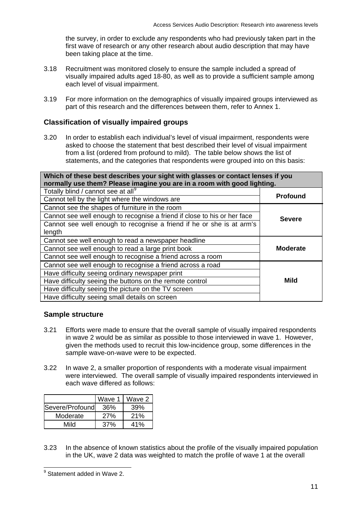the survey, in order to exclude any respondents who had previously taken part in the first wave of research or any other research about audio description that may have been taking place at the time.

- 3.18 Recruitment was monitored closely to ensure the sample included a spread of visually impaired adults aged 18-80, as well as to provide a sufficient sample among each level of visual impairment.
- 3.19 For more information on the demographics of visually impaired groups interviewed as part of this research and the differences between them, refer to Annex 1.

# **Classification of visually impaired groups**

3.20 In order to establish each individual's level of visual impairment, respondents were asked to choose the statement that best described their level of visual impairment from a list (ordered from profound to mild). The table below shows the list of statements, and the categories that respondents were grouped into on this basis:

| Which of these best describes your sight with glasses or contact lenses if you<br>normally use them? Please imagine you are in a room with good lighting. |                 |  |
|-----------------------------------------------------------------------------------------------------------------------------------------------------------|-----------------|--|
| Totally blind / cannot see at all <sup>9</sup>                                                                                                            |                 |  |
| Cannot tell by the light where the windows are                                                                                                            | <b>Profound</b> |  |
| Cannot soo the shapes of furniture in the room                                                                                                            |                 |  |

| Cannot see the shapes of furniture in the room<br>Cannot see well enough to recognise a friend if close to his or her face | <b>Severe</b>   |
|----------------------------------------------------------------------------------------------------------------------------|-----------------|
| Cannot see well enough to recognise a friend if he or she is at arm's<br>length                                            |                 |
| Cannot see well enough to read a newspaper headline                                                                        |                 |
| Cannot see well enough to read a large print book                                                                          | <b>Moderate</b> |
| Cannot see well enough to recognise a friend across a room                                                                 |                 |
| Cannot see well enough to recognise a friend across a road                                                                 |                 |
| Have difficulty seeing ordinary newspaper print                                                                            |                 |
| Have difficulty seeing the buttons on the remote control                                                                   | Mild            |
| Have difficulty seeing the picture on the TV screen                                                                        |                 |
| Have difficulty seeing small details on screen                                                                             |                 |

# **Sample structure**

- 3.21 Efforts were made to ensure that the overall sample of visually impaired respondents in wave 2 would be as similar as possible to those interviewed in wave 1. However, given the methods used to recruit this low-incidence group, some differences in the sample wave-on-wave were to be expected.
- 3.22 In wave 2, a smaller proportion of respondents with a moderate visual impairment were interviewed. The overall sample of visually impaired respondents interviewed in each wave differed as follows:

|                   | Wave 1 | Wave 2 |
|-------------------|--------|--------|
| lSevere/Profoundl | 36%    | 39%    |
| Moderate          | 27%    | 21%    |
| Mild              | 37%    | 41%    |

3.23 In the absence of known statistics about the profile of the visually impaired population in the UK, wave 2 data was weighted to match the profile of wave 1 at the overall

<span id="page-11-0"></span> 9 Statement added in Wave 2.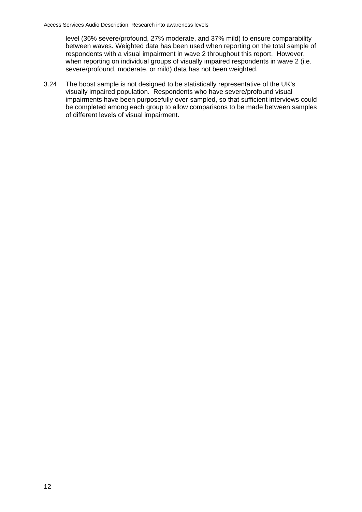level (36% severe/profound, 27% moderate, and 37% mild) to ensure comparability between waves. Weighted data has been used when reporting on the total sample of respondents with a visual impairment in wave 2 throughout this report. However, when reporting on individual groups of visually impaired respondents in wave 2 (i.e. severe/profound, moderate, or mild) data has not been weighted.

3.24 The boost sample is not designed to be statistically representative of the UK's visually impaired population. Respondents who have severe/profound visual impairments have been purposefully over-sampled, so that sufficient interviews could be completed among each group to allow comparisons to be made between samples of different levels of visual impairment.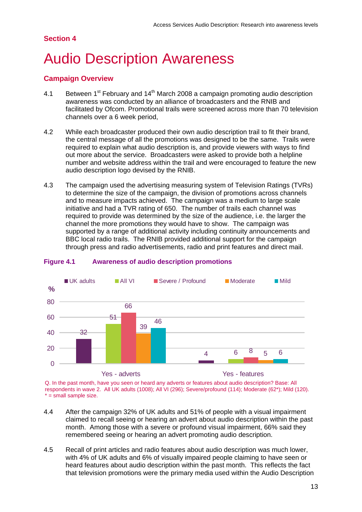# **Section 4**

# **Audio Description Awareness**

# **Campaign Overview**

- 4.1 Between  $1^{st}$  February and  $14^{th}$  March 2008 a campaign promoting audio description awareness was conducted by an alliance of broadcasters and the RNIB and facilitated by Ofcom. Promotional trails were screened across more than 70 television channels over a 6 week period,
- 4.2 While each broadcaster produced their own audio description trail to fit their brand, the central message of all the promotions was designed to be the same. Trails were required to explain what audio description is, and provide viewers with ways to find out more about the service. Broadcasters were asked to provide both a helpline number and website address within the trail and were encouraged to feature the new audio description logo devised by the RNIB.
- 4.3 The campaign used the advertising measuring system of Television Ratings (TVRs) to determine the size of the campaign, the division of promotions across channels and to measure impacts achieved. The campaign was a medium to large scale initiative and had a TVR rating of 650. The number of trails each channel was required to provide was determined by the size of the audience, i.e. the larger the channel the more promotions they would have to show. The campaign was supported by a range of additional activity including continuity announcements and BBC local radio trails. The RNIB provided additional support for the campaign through press and radio advertisements, radio and print features and direct mail.



#### **Figure 4.1 Awareness of audio description promotions**

Q. In the past month, have you seen or heard any adverts or features about audio description? Base: All respondents in wave 2. All UK adults (1008); All VI (296); Severe/profound (114); Moderate (62\*); Mild (120). \* = small sample size.

- 4.4 After the campaign 32% of UK adults and 51% of people with a visual impairment claimed to recall seeing or hearing an advert about audio description within the past month. Among those with a severe or profound visual impairment, 66% said they remembered seeing or hearing an advert promoting audio description.
- 4.5 Recall of print articles and radio features about audio description was much lower, with 4% of UK adults and 6% of visually impaired people claiming to have seen or heard features about audio description within the past month. This reflects the fact that television promotions were the primary media used within the Audio Description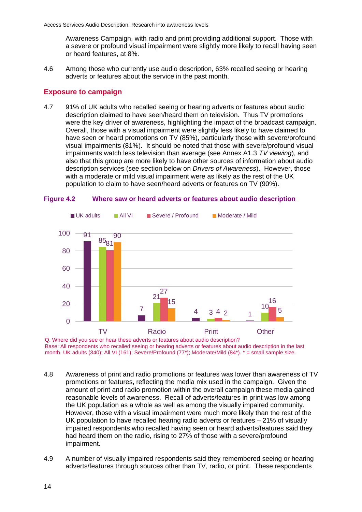Awareness Campaign, with radio and print providing additional support. Those with a severe or profound visual impairment were slightly more likely to recall having seen or heard features, at 8%.

4.6 Among those who currently use audio description, 63% recalled seeing or hearing adverts or features about the service in the past month.

### **Exposure to campaign**

4.7 91% of UK adults who recalled seeing or hearing adverts or features about audio were the key driver of awareness, highlighting the impact of the broadcast campaign. have seen or heard promotions on TV (85%), particularly those with severe/profound description claimed to have seen/heard them on television. Thus TV promotions Overall, those with a visual impairment were slightly less likely to have claimed to visual impairments (81%). It should be noted that those with severe/profound visual impairments watch less television than average (see Annex A1.3 *TV viewing*), and also that this group are more likely to have other sources of information about audio description services (see section below on *Drivers of Awareness*). However, those with a moderate or mild visual impairment were as likely as the rest of the UK population to claim to have seen/heard adverts or features on TV (90%).



#### **Figure 4.2 Where saw or heard adverts or features about audio description**

Q. Where did you see or hear these adverts or features about audio description? Base: All respondents who recalled seeing or hearing adverts or features about audio description in the last month. UK adults (340); All VI (161); Severe/Profound (77\*); Moderate/Mild (84\*). \* = small sample size.

- 4.8 Awareness of print and radio promotions or features was lower than awareness of TV amount of print and radio promotion within the overall campaign these media gained promotions or features, reflecting the media mix used in the campaign. Given the reasonable levels of awareness. Recall of adverts/features in print was low among the UK population as a whole as well as among the visually impaired community. However, those with a visual impairment were much more likely than the rest of the UK population to have recalled hearing radio adverts or features – 21% of visually impaired respondents who recalled having seen or heard adverts/features said they had heard them on the radio, rising to 27% of those with a severe/profound impairment.
- 4.9 A number of visually impaired respondents said they remembered seeing or hearing adverts/features through sources other than TV, radio, or print. These respondents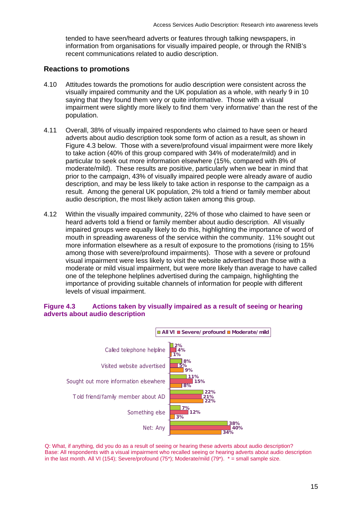tended to have seen/heard adverts or features through talking newspapers, in information from organisations for visually impaired people, or through the RNIB's recent communications related to audio description.

## **Reactions to promotions**

- 4.10 Attitudes towards the promotions for audio description were consistent across the visually impaired community and the UK population as a whole, with nearly 9 in 10 impairment were slightly more likely to find them 'very informative' than the rest of the saying that they found them very or quite informative. Those with a visual population.
- 4.11 Overall, 38% of visually impaired respondents who claimed to have seen or heard adverts about audio description took some form of action as a result, as shown in moderate/mild). These results are positive, particularly when we bear in mind that prior to the campaign, 43% of visually impaired people were already aware of audio Figure 4.3 below. Those with a severe/profound visual impairment were more likely to take action (40% of this group compared with 34% of moderate/mild) and in particular to seek out more information elsewhere (15%, compared with 8% of description, and may be less likely to take action in response to the campaign as a result. Among the general UK population, 2% told a friend or family member about audio description, the most likely action taken among this group.
- 4.12 Within the visually impaired community, 22% of those who claimed to have seen or heard adverts told a friend or family member about audio description. All visually mouth in spreading awareness of the service within the community. 11% sought out moderate or mild visual impairment, but were more likely than average to have called impaired groups were equally likely to do this, highlighting the importance of word of more information elsewhere as a result of exposure to the promotions (rising to 15% among those with severe/profound impairments). Those with a severe or profound visual impairment were less likely to visit the website advertised than those with a one of the telephone helplines advertised during the campaign, highlighting the importance of providing suitable channels of information for people with different levels of visual impairment.

### **Figure 4.3** Actions taken by visually impaired as a result of seeing or hearing **adverts about audio description**



Q: What, if anything, did you do as a result of seeing or hearing these adverts about audio description? Base: All respondents with a visual impairment who recalled seeing or hearing adverts about audio description in the last month. All VI (154); Severe/profound (75\*); Moderate/mild (79\*).  $* =$  small sample size.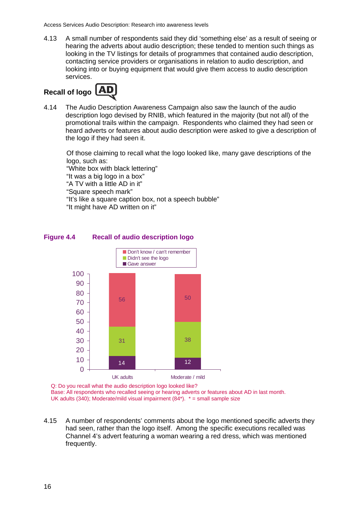4.13 A small number of respondents said they did 'something else' as a result of seeing or hearing the adverts about au dio description; these tended to mention such things as looking in the TV listings for details of programmes that contained audio description, contacting service providers or organisations in relation to audio description, and looking into or buying equipment that would give them access to audio description services.



4.14 The Audio Description Awareness Campaign also saw the launch of the audio description logo devised by RNIB, which featured in the majority (but not all) of the promotional trails within the campaign. Respondents who claimed they had seen or heard adverts or features about audio description were asked to give a description of the logo if they had seen it.

Of those claiming to recall what the logo looked like, many gave descriptions of the logo, such as:

"White box with black lettering" "It was a big logo in a box" "A TV with a little AD in it" "Square speech mark" "It's like a square caption box, not a speech bubble" "It might have AD written on it"



**Figure Recall of audio description logo** 

Q: Do you recall what the audio description logo looked like? Base: All respondents who recalled seeing or hearing adverts or features about AD in last month. UK adults (340); Moderate/mild visual impairment (84\*).  $* =$  small sample size

4.15 A number of respondents' comments about the logo mentioned specific adverts they had seen, rather than the logo itself. Among the specific executions recalled was Channel 4's advert featuring a woman wearing a red dress, which was mentioned frequently.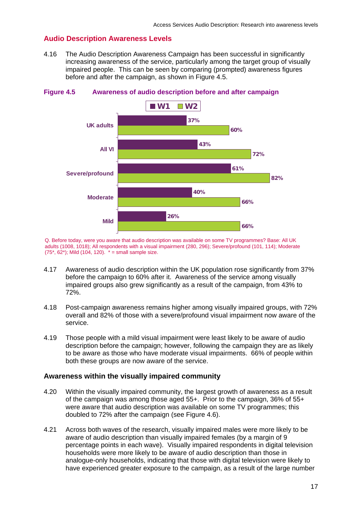# **Audio Description Awareness Levels**

4.16 The Audio Description Awareness Campaign has been successful in significantly increasing awareness of the service, particularly among the target group of visually impaired people. This can be seen by comparing (prompted) awareness figures before and after the campaign, as shown in Figure 4.5.



### **Figure 4.5 Awareness of audio description before and after campaign**

Q. Befor e today, were you aware that audio description was available on some TV programmes? Base: All UK adults (1008, 1018); All respondents with a visual impairment (280, 296); Severe/profound (101, 114); Moderate  $(75^*, 62^*)$ ; Mild  $(104, 120)$ .  $* =$  small sample size.

- 4.17 Awareness of audio description within the UK population rose significantly from 37% before the campaign to 60% after it. Awareness of the service among visually impaired groups also grew significantly as a result of the campaign, from 43% to 72%.
- 4.18 Post-campaign awareness remains higher among visually impaired groups, with 72% overall and 82% of those with a severe/profound visual impairment now aware of the service.
- 4.19 Those people with a mild visual impairment were least likely to be aware of audio description before the campaign; however, following the campaign they are as likely to be aware as those who have moderate visual impairments. 66% of people within both these groups are now aware of the service.

#### **Awareness within the visually impaired community**

- 4.20 Within the visually impaired community, the largest growth of awareness as a result of the campaign was among those aged 55+. Prior to the campaign, 36% of 55+ were aware that audio description was available on some TV programmes; this doubled to 72% after the campaign (see Figure 4.6).
- 4.21 Across both waves of the research, visually impaired males were more likely to be aware of audio description than visually impaired females (by a margin of 9 percentage points in each wave). Visually impaired respondents in digital television households were more likely to be aware of audio description than those in analogue-only households, indicating that those with digital television were likely to have experienced greater exposure to the campaign, as a result of the large number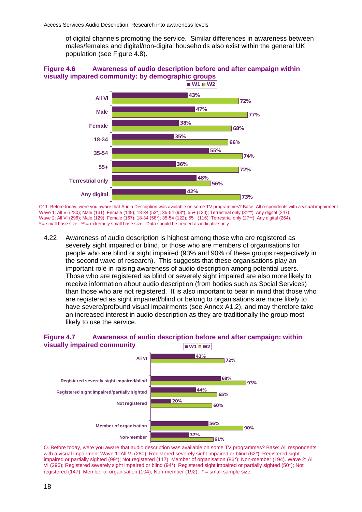of digital channels promoting the service. Similar differences in awareness between males/females and digital/non-digital households also exist within the general UK population (see Figure 4.8).

### **Figure 4.6 Awareness of audio description before and after campaign within visually impaired community: by demographic groups**



Q11: Before today, were you aware that Audio Description was available on some TV programmes? Base: All respondents with a visual impairment. Wave 1: All VI (280); Male (131); Female (149); 18-34 (52\*); 35-54 (98\*); 55+ (130); Terrestrial only (31\*\*); Any digital (247). Wave 2: All VI (296); Male (129); Female (167); 18-34 (58\*); 35-54 (122); 55+ (116); Terrestrial only (27\*\*); Any digital (264). \* = small bas e size. \*\* = extremely small base size. Data should be treated as indicative only

4.22 severely sight impaired or blind, or those who are members of organisations for important role in raising awareness of audio description among potential users. Those who are registered as blind or severely sight impaired are also more likely to have severe/profound visual impairments (see Annex A1.2), and may therefore take an increased interest in audio description as they are traditionally the group most Awareness of audio description is highest among those who are registered as people who are blind or sight impaired (93% and 90% of these groups respectively in the second wave of research). This suggests that these organisations play an receive information about audio description (from bodies such as Social Services) than those who are not registered. It is also important to bear in mind that those who are registered as sight impaired/blind or belong to organisations are more likely to likely to use the service.

#### **visually impaired community COMING A READ FINITY CONTROVER A READ FINITY CONTROVER A READ FINITY CONTROVERY Figure 4.7 Awareness of audio description before and after campaign: within**



Q. Before today, were you aware that audio description was available on some TV programmes? Base: All respondents with a visual impairment.Wave 1: All VI (280); Registered severely sight impaired or blind (62\*); Registered sight registered (147); Member of organisation (104); Non-member (192).  $* =$  small sample size. impaired or partially sighted (99\*); Not registered (117); Member of organisation (86\*); Non-member (194). Wave 2: All VI (296); Registered severely sight impaired or blind (94\*); Registered sight impaired or partially sighted (50\*); Not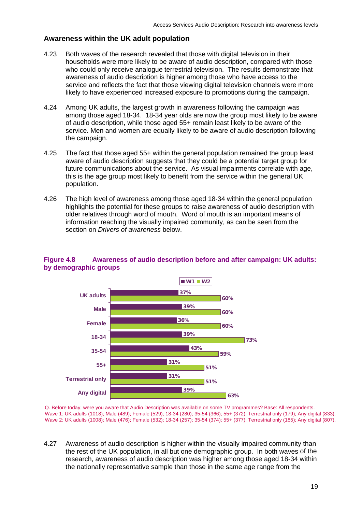# **Awareness within the UK adult population**

- Both waves of the research revealed that those with digital television in their households were more likely to be aware of audio description, compared with those who could only receive analogue terrestrial television. The results demonstrate that awareness of audio description is higher among those who have access to the service and reflects the fact that those viewing digital television channels were more likely to have experienced increased exposure to promotions during the campaign. 4.23
- 4.24 Among UK adults, the largest growth in awareness following the campaign was among those aged 18-34. 18-34 year olds are now the group most likely to be aware of audio description, while those aged 55+ remain least likely to be aware of the service. Men and women are equally likely to be aware of audio description following the campaign.
- The fact that those aged 55+ within the general population remained the group least aware of audio description suggests that they could be a potential target group for future communications about the service. As visual impairments correlate with age, 4.25 this is the age group most likely to benefit from the service within the general UK population.
- 4.26 The high level of awareness among those aged 18-34 within the general population highlights the potential for these groups to raise awareness of audio description with older relatives through word of mouth. Word of mouth is an important means of information reaching the visually impaired community, as can be seen from the section on *Drivers of awareness* below.



# **Figure 4.8** Awareness of audio description before and after campaign: UK adults: **by demographic groups**

Q. Before today, were you aware that Audio Description was available on some TV programmes? Base: All respondents. Wave 1: UK adults (1018); Male (489); Female (529); 18-34 (280); 35-54 (366); 55+ (372); Terrestrial only (179); Any digital (833). Wave 2: UK adults (1008); Male (476); Female (532); 18-34 (257); 35-54 (374); 55+ (377); Terrestrial only (185); Any digital (807).

4.27 the rest of the UK population, in all but one demographic group. In both waves of the Awareness of audio description is higher within the visually impaired community than research, awareness of audio description was higher among those aged 18-34 within the nationally representative sample than those in the same age range from the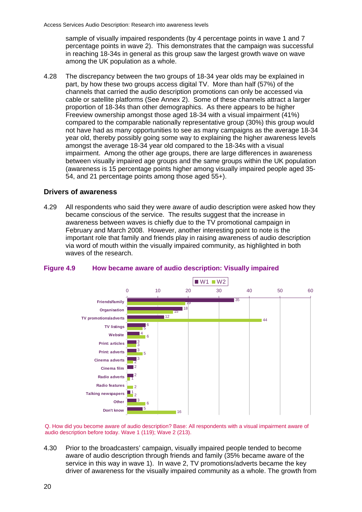sample of visually impaired respondents (by 4 percentage points in wave 1 and 7 percentage points in wave 2). This demonstrates that the campaign was successful in reaching 18-34s in general as this group saw the largest growth wave on wave among the UK population as a whole.

4.28 The discrepancy between the two groups of 18-34 year olds may be explained in Freeview ownership amongst those aged 18-34 with a visual impairment (41%) compared to the comparable nationally representative group (30%) this group would impairment. Among the other age groups, there are large differences in awareness between visually impaired age groups and the same groups within the UK population (awareness is 15 percentage points higher among visually impaired people aged 35- 54, and 21 percentage points among those aged 55+). part, by how these two groups access digital TV. More than half (57%) of the channels that carried the audio description promotions can only be accessed via cable or satellite platforms (See Annex 2). Some of these channels attract a larger proportion of 18-34s than other demographics. As there appears to be higher not have had as many opportunities to see as many campaigns as the average 18-34 year old, thereby possibly going some way to explaining the higher awareness levels amongst the average 18-34 year old compared to the 18-34s with a visual

# **Drivers of awareness**

4.29 All respondents who said they were aware of audio description were asked how they became conscious of the service. The results suggest that the increase in awareness between waves is chiefly due to the TV promotional campaign in February and March 2008. However, another interesting point to note is the important role that family and friends play in raising awareness of audio description via word of mouth within the visually impaired community, as highlighted in both waves of the research.



#### **igure 4.9 How became aware of audio description: Visually impaired Figure 4.9**

Q. How did you become aware of audio description? Base: All respondents with a visual impairment aware of audio description before today. Wave 1 (119); Wave 2 (213).

4.30 Prior to the broadcasters' campaign, visually impaired people tended to become aware of audio description through friends and family (35% became aware of the service in this way in wave 1). In wave 2, TV promotions/adverts became the key driver of awareness for the visually impaired community as a whole. The growth from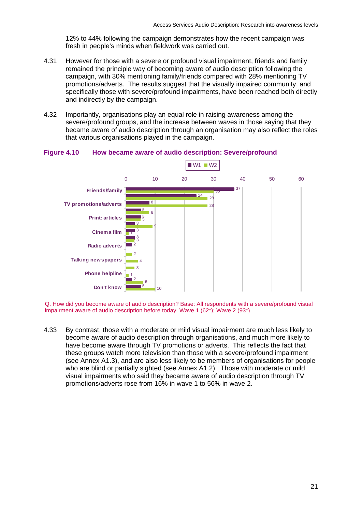12% to 44% following the campaign demonstrates how the recent campaign wa s fresh in people's minds when fieldwork was carried out.

- However for those with a severe or profound visual impairment, friends and family remained the principle way of becoming aware of audio description following the campaign, with 30% mentioning family/friends compared with 28% mention ing TV promotions/adverts. The results suggest that the visually impaired community, and specifically those with severe/profound impairments, have been reached both directly and indirectly by the campaign. 4.31
- 4.32 Importantly, organisations play an equal role in raising awareness among the severe/profound groups, and the increase between waves in those saying that they became aware of audio description through an organisation may also reflect the roles that various organisations played in the campaign.

#### **Figure How became aware of audio description: Severe/profound**



Q. How did you become aware of audio description? Base: All respondents with a severe/profound visual im pairment aware of audio description before today. Wave 1 (62\*); Wave 2 (93\*)

4.33 By contrast, those with a moderate or mild visual impairment are much less likely to become aware of audio description through organisations, and much more likely to have become aware through TV promotions or adverts. This reflects the fact that these groups watch more television than those with a severe/profound impairment (see Annex A1.3), and are also less likely to be members of organisations for people who are blind or partially sighted (see Annex A1.2). Those with moderate or mild visual impairments who said they became aware of audio description through TV promotions/adverts rose from 16% in wave 1 to 56% in wave 2.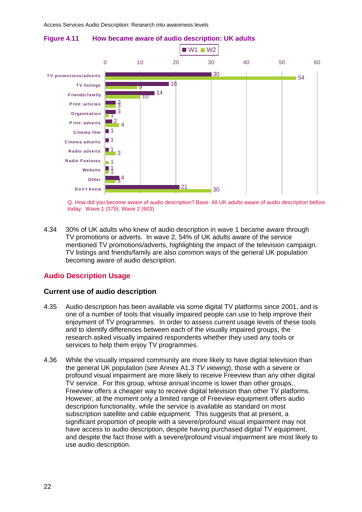3



**Figure 4.11 How became aware of audio description: UK adults** 

Q. How did you become aware of audio description? Base: All UK adults aware of audio description before today. Wave 1 (379); Wave 2 (603)

30

TV promotions or adverts. In wave 2, 54% of UK adults aware of the service mentioned TV promotions/adverts, highlighting the impact of the television campaign. 4.34 30% of UK adults who knew of audio description in wave 1 became aware through TV listings and friends/family are also common ways of the general UK population becoming aware of audio description.

21

# **Audio Description Usage**

**Don't know**

#### **Current use of audio description**

- 4.35 Audio description has been available via some digital TV platforms since 2001, and is one of a number of tools that visually impaired people can use to help improve their enjoyment of TV programmes. In order to assess current usage levels of these tools and to identify differences between each of the visually impaired groups, the research asked visually impaired respondents whether they used any tools or services to help them enjoy TV programmes.
- 4.36 While the visually impaired community are more likely to have digital television than the general UK population (see Annex A1.3 *TV viewing*), those with a severe or profound visual impairment are more likely to receive Freeview than any other digital TV service. For this group, whose annual income is lower than other groups, Freeview offers a cheaper way to receive digital television than other TV platforms. However, at the moment only a limited range of Freeview equipment offers audio description functionality, while the service is available as standard on most subscription satellite and cable equipment. This suggests that at present, a significant proportion of people with a severe/profound visual impairment may not have access to audio description, despite having purchased digital TV equipment, and despite the fact those with a severe/profound visual impairment are most likely to use audio description.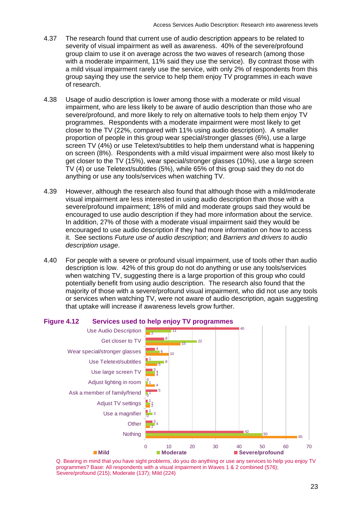- 4.37 The research found that current use of audio description appears to be related to severity of visual impairment as well as awareness. 40% of the severe/profound group claim to use it on average across the two waves of research (among those with a moderate impairment, 11% said they use the service). By contrast those with a mild visual impairment rarely use the service, with only 2% of respondents from this group saying they use the service to help them enjoy TV programmes in each wave of research.
- 4.38 Usage of audio description is lower among those with a moderate or mild visual impairment, who are less likely to be aware of audio description than those who are severe/profound, and more likely to rely on alternative tools to help them enjoy TV programmes. Respondents with a moderate impairment were most likely to get closer to the TV (22%, compared with 11% using audio description). A smaller proportion of people in this group wear special/stronger glasses (6%), use a large screen TV (4%) or use Teletext/subtitles to help them understand what is happening on screen (8%). Respondents with a mild visual impairment were also most likely to get closer to the TV (15%), wear special/stronger glasses (10%), use a large screen TV (4) or use Teletext/subtitles (5%), while 65% of this group said they do not do anything or use any tools/services when watching TV.
- 4.39 However, although the research also found that although those with a mild/moderate v isual impairment are less interested in using audio description than those with a severe/profound impairment; 18% of mild and moderate groups said they would be encouraged to use audio description if they had more information about the service. In addition, 27% of those with a moderate visual impairment said they would be it. See sections *Future use of audio description*; and *Barriers and drivers to audio* encouraged to use audio description if they had more information on how to access *description usage*.
- 4.40 For people with a severe or profound visual impairment, use of tools other than audio description is low. 42% of this group do not do anything or use any tools/services when watching TV, suggesting there is a large proportion of this group who could potentially benefit from using audio description. The research also found that the majority of those with a severe/profound visual impairment, who did not use any tools or services when watching TV, were not aware of audio description, again suggesting that uptake will increase if awareness levels grow further.



#### **Figure Services used to help enjoy TV programmes**

Q. Bearing in mind that you have sight problems, do you do anything or use any services to help you enjoy TV programmes? Base: All respondents with a visual impairment in Waves 1 & 2 combined (576); Severe/profound (215); Moderate (137); Mild (224)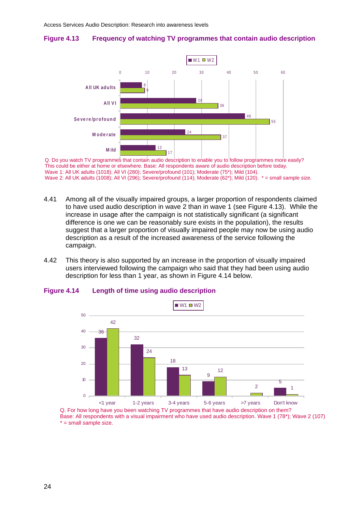# **Figure 4.13 Frequency of watching TV programmes that contain audio description**



Q. Do yo u watch TV programmes that contain audio description to enable you to follow programmes more easily? This coul d be either at home or elsewhere. Base: All respondents aware of audio description before today. Wave 1: All UK adults (1018); All VI (280); Severe/profound (101); Moderate (75\*); Mild (104). Wave 2: All UK adults (1008); All VI (296); Severe/profound (114); Moderate (62\*); Mild (120). \* = small sample size.

- 4.41 Among all of the visually impaired groups, a larger proportion of respondents claimed to have used audio description in wave 2 than in wave 1 (see Figure 4.13). While the increase in usage after the campaign is not statistically significant (a significant difference is one we can be reasonably sure exists in the population), the results suggest that a larger proportion of visually impaired people may now be using audio description as a result of the increased awareness of the service following the campaign.
- 4.42 This theory is also supported by an increase in the proportion of visually impaired users interviewed following the campaign who said that they had been using audio description for less than 1 year, as shown in Figure 4.14 below.





Q. For how long have you been watching TV programmes that have audio description on them? Base: All respondents with a visual impairment who have used audio description. Wave 1 (78\*); Wave 2 (107)  $* =$  small sample size.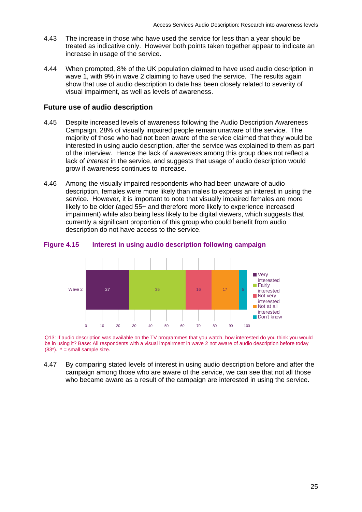- 4.43 The increase in those who have used the service for less than a year should be treated as indicative only. However both points taken together appear to indicate an increase in usage of the service.
- 4.44 When prompted, 8% of the UK population claimed to have used audio description in wave 1, with 9% in wave 2 claiming to have used the service. The results again show that use of audio description to date has been closely related to severity of visual impairment, as well as levels of awareness.

## **Future use of audio description**

- 4.45 Despite increased levels of awareness following the Audio Description Awareness Campaign, 28% of visually impaired people remain unaware of the service. The majority of those who had not been aware of the service claimed that they would be interested in using audio description, after the service was explained to them as part of the interview. Hence the lack of *awareness* among this group does not reflect a lack of *interest* in the service, and suggests that usage of audio description would grow if awareness continues to increase.
- 4.46 Among the visually impaired respondents who had been unaware of audio description, females were more likely than males to express an interest in using the impairment) while also being less likely to be digital viewers, which suggests that service. However, it is important to note that visually impaired females are more likely to be older (aged 55+ and therefore more likely to experience increased currently a significant proportion of this group who could benefit from audio description do not have access to the service.

#### **Interest in using audio description following campaign Figure 4.15**



Q13: If audio description was available on the TV programmes that you watch, how interested do you think you would be in using it? Base: All respondents with a visual impairment in wave 2 not aware of audio description before today  $(83^*)$ .  $* =$  small sample size.

4.47 By comparing stated levels of interest in using audio description before and after the campaign among those who are aware of the service, we can see that not all those who became aware as a result of the campaign are interested in using the service.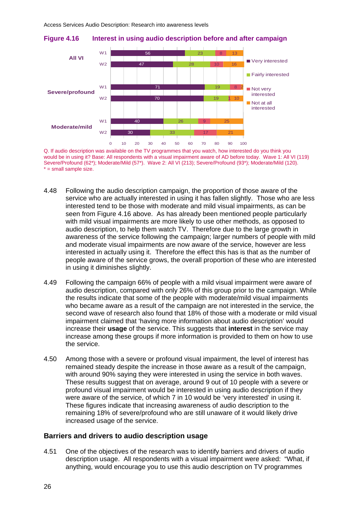

**Figure 4.16 Interest in using audio description before and after campaign** 

Q. If audi o description was available on the TV programmes that you watch, how interested do you think you would be in using it? Base: All respondents with a visual impairment aware of AD before today. Wave 1: All VI (119) Severe/P rofound (62\*); Moderate/Mild (57\*). Wave 2: All VI (213); Severe/Profound (93\*); Moderate/Mild (120). \* = small sample size.

- 4.48 Following the audio description campaign, the proportion of those aware of the service who are actually interested in using it has fallen slightly. Those who are less with mild visual impairments are more likely to use other methods, as opposed to awareness of the service following the campaign; larger numbers of people with mild and moderate visual impairments are now aware of the service, however are less interested in actually using it. Therefore the effect this has is that as the number of people aware of the service grows, the overall proportion of these who are interested interested tend to be those with moderate and mild visual impairments, as can be seen from Figure 4.16 above. As has already been mentioned people particularly audio description, to help them watch TV. Therefore due to the large growth in in using it diminishes slightly.
- 4.49 Following the campaign 66% of people with a mild visual impairment were aware of audio description, compared with only 26% of this group prior to the campaign. While the results indicate that some of the people with moderate/mild visual impairments who became aware as a result of the campaign are not interested in the service, the second wave of research also found that 18% of those with a moderate or mild visual impairment claimed that 'having more information about audio description' would increase their **usage** of the service. This suggests that **interest** in the service may increase among these groups if more information is provided to them on how to use the service.
- with around 90% saying they were interested in using the service in both waves. These figures indicate that increasing awareness of audio description to the remaining 18% of severe/profound who are still unaware of it would likely drive increased usage of the service. 4.50 Among those with a severe or profound visual impairment, the level of interest has remained steady despite the increase in those aware as a result of the campaign, These results suggest that on average, around 9 out of 10 people with a severe or profound visual impairment would be interested in using audio description if they were aware of the service, of which 7 in 10 would be 'very interested' in using it.

#### **Barriers and drivers to audio description usage**

4.51 One of the objectives of the research was to identify barriers and drivers of audio description usage. All respondents with a visual impairment were asked: "What, if anything, would encourage you to use this audio description on TV programmes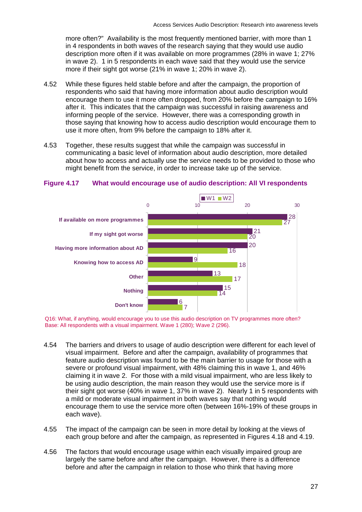more often?" Availability is the most frequently mentioned barrier, with more than 1 in 4 respondents in both waves of the research saying that they would use audio description more often if it was available on more programmes (28% in wave 1; 27% in wave 2). 1 in 5 respondents in each wave said that they would use the service more if their sight got worse (21% in wave 1; 20% in wave 2).

- 4.52 While these figures held stable before and after the campaign, the proportion of respondents who said that having more information about audio description would encourage them to use it more often dropped, from 20% before the campaign to 16% after it. This indicates that the campaign was successful in raising awareness and informing people of the service. However, there was a corresponding growth in those saying that knowing how to access audio description would encourage them to use it more often, from 9% before the campaign to 18% after it.
- 4.53 Together, these results suggest that while the campaign was successful in about how to access and actually use the service needs to be provided to those who might benefit from the service, in order to increase take up of the service. communicating a basic level of information about audio description, more detailed



### **Figure 4.17 What would encourage use of audio description: All VI respondents**

Q16: Wh at, if anything, would encourage you to use this audio description on TV programmes more often? Base: Al l respondents with a visual impairment. Wave 1 (280); Wave 2 (296).

- 4.54 The barriers and drivers to usage of audio description were different for each level of visual impairment. Before and after the campaign, availability of programmes that claiming it in wave 2. For those with a mild visual impairment, who are less likely to their sight got worse (40% in wave 1, 37% in wave 2). Nearly 1 in 5 respondents with encourage them to use the service more often (between 16%-19% of these groups in feature audio description was found to be the main barrier to usage for those with a severe or profound visual impairment, with 48% claiming this in wave 1, and 46% be using audio description, the main reason they would use the service more is if a mild or moderate visual impairment in both waves say that nothing would each wave).
- 4.55 The impact of the campaign can be seen in more detail by looking at the views of each group before and after the campaign, as represented in Figures 4.18 and 4.19.
- 4.56 The factors that would encourage usage within each visually impaired group are largely the same before and after the campaign. However, there is a difference before and after the campaign in relation to those who think that having more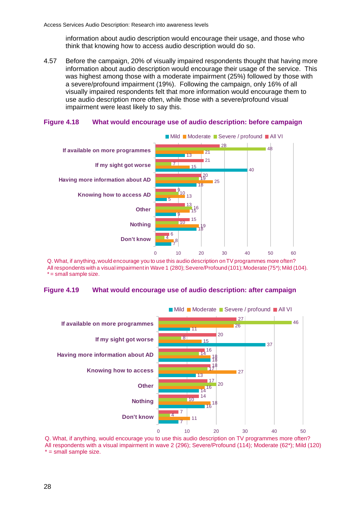information about audio description would encourage their usage, and those who think that knowing how to access audio description would do so.

4.57 Before the campaign, 20% of visually impaired respondents thought that having more information about audio description would encourage their usa ge of the service. This was highest among those with a moderate impairment (25%) followed by those with a severe/profound impairment (19%). Following the campaign, only 16% of all visually impaired respondents felt that more information would encourage them to use audio description more often, while those with a severe/profound visual impairment were least likely to say this.

#### **Figure 4.18 What would encourage use of audio description: before campaign**



Q. What, if anything, would encourage you to use this audio description on TV programmes more often? All respondents with a visual impairment in Wave 1 (280); Severe/Profound (101); Moderate (75\*); Mild (104).  $* =$  small sample size.

#### **igure 4.19 What would encourage use of audio description: after campaign Figure 4.19**



Q. Wha t, if anything, would encourage you to use this audio description on TV programmes more often? All respondents with a visual impairment in wave 2 (296); Severe/Profound (114); Moderate (62\*); Mild (120)  $* =$  small sample size.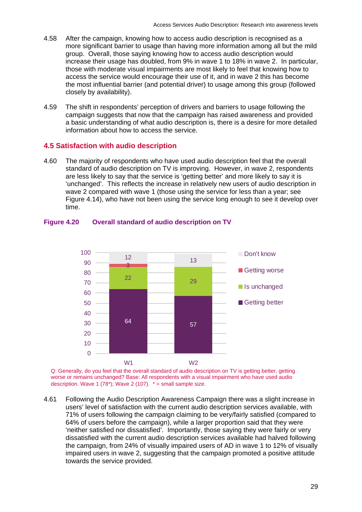- 4.58 more significant barrier to usage than having more information among all but the mild group. Overall, those saying knowing how to access audio description would the most influential barrier (and potential driver) to usage among this group (followed After the campaign, knowing how to access audio description is recognised as a increase their usage has doubled, from 9% in wave 1 to 18% in wave 2. In particular, those with moderate visual impairments are most likely to feel that knowing how to access the service would encourage their use of it, and in wave 2 this has become closely by availability).
- 4.59 The shift in respondents' perception of drivers and barriers to usage following the campaign suggests that now that the campaign has raised awareness and provided a basic understanding of what audio description is, there is a desire for more detailed information about how to access the service.

# **4.5 Satisfaction with audio description**

4.60 The majority of respondents who have used audio description feel that the overall standard of audio description on TV is improving. However, in wave 2, respondents are less likely to say that the service is 'getting better' and more likely to say it is 'unchanged'. This reflects the increase in relatively new users of audio description in wave 2 compared with wave 1 (those using the service for less than a year; see Figure 4.14), who have not been using the service long enough to see it develop over time.



# **Figure 4.20 Overall standard of audio description on TV**

Q: Generally, do you feel that the overall standard of audio description on TV is getting better, getting worse or remains unchanged? Base: All respondents with a visual impairment who have used audio description. Wave 1 (78\*); Wave 2 (107).  $* =$  small sample size.

4.61 Following the Audio Description Awareness Campaign there was a slight increase in users' level of satisfaction with the current audio description services available, with 71% of users following the campaign claiming to be very/fairly satisfied (compared to 64% of users before the campaign), while a larger proportion said that they were 'neither satisfied nor dissatisfied'. Importantly, those saying they were fairly or very dissatisfied with the current audio description services available had halved following the campaign, from 24% of visually impaired users of AD in wave 1 to 12% of visually impaired users in wave 2, suggesting that the campaign promoted a positive attitude towards the service provided.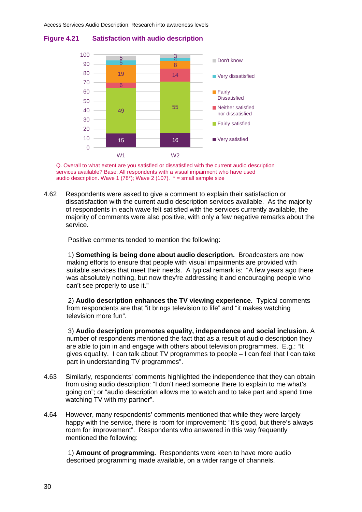

#### **Figure 4.21 Satisfaction with audio description**

serv ices available? Base: All respondents with a visual impairment who have used aud io description. Wave 1 (78\*); Wave 2 (107). \* = small sample size Q. Overall to what extent are you satisfied or dissatisfied with the current audio description

Respondents were asked to give a comment to explain their satisfaction or dissatisfaction with the current audio description services available. As the majority of resp ondents in each wave felt satisfied with the services currently available, the 4.62 majority of comments were also positive, with only a few negative remarks about the service.

Positive comments tended to mention the following:

 1) **Something is being done about audio description.** Broadcasters are now making efforts to ensure that people with visual impairments are provided with suitable services that meet their needs. A typical remark is: "A few years ago there was absolutely nothing, but now they're addressing it and encouraging people who can't see properly to use it."

2) Audio description enhances the TV viewing experience. Typical comments from respondents are that "it brings television to life" and "it makes watching television more fun".

3) Audio description promotes equality, independence and social inclusion. A number of respondents mentioned the fact that as a result of audio description they are able to join in and engage with others about television programmes. E.g.: "It gives equality. I can talk about TV programmes to people – I can feel that I can take part in understanding TV programmes".

- 4.63 Similarly, respondents' comments highlighted the independence that they can obtain going on"; or "audio description allows me to watch and to take part and spend time from using audio description: "I don't need someone there to explain to me what's watching TV with my partner".
- 4.64 happy with the service, there is room for improvement: "It's good, but there's always However, many respondents' comments mentioned that while they were largely room for improvement". Respondents who answered in this way frequently mentioned the following:

described programming made available, on a wider range of channels. 1) **Amount of programming.** Respondents were keen to have more audio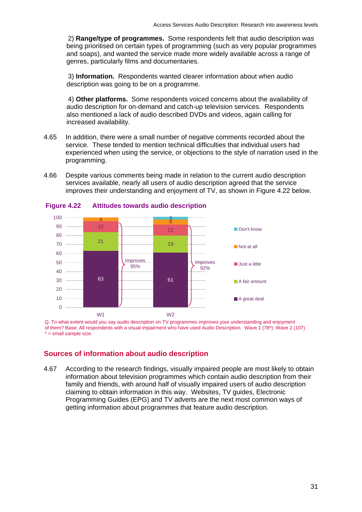2) **Range/type of programmes.** Some respondents felt that audio description was being prioritised on certain types of programming (such as very popular programmes and soaps), and wanted the service made more widely available across a range of genres, particularly films and documentaries.

 3) **Information.** Respondents wanted clearer information about when audio description was going to be on a programme.

 4) **Other platforms.** Some respondents voiced concerns about the availability of audio description for on-demand and catch-up television services. Respondents also mentioned a lack of audio described DVDs and videos, again calling for increased availability.

- 4.65 In addition, there were a small number of negative comments recorded about the service. These tended to mention technical difficulties that individual users had experienced when using the service, or objections to the style of narration used in the programming.
- 4.66 Despite various comments being made in relation to the current audio description services available, nearly all users of audio description agreed that the service improves their understanding and enjoyment of TV, as shown in Figure 4.22 below.



 **Figure Attitudes towards audio description** 

Q. To what extent would you say audio description on TV programmes improves your understanding and enjoyment of them? Base: All respondents with a visual impairment who have used Audio Description. Wave 1 (78\*); Wave 2 (107) \* = small sample size.

# **Source s of information about audio description**

4.67 According to the research findings, visually impaired people are most likely to obtain Programming Guides (EPG) and TV adverts are the next most common ways of getting information about programmes that feature audio description. information about television programmes which contain audio description from their family and friends, with around half of visually impaired users of audio description claiming to obtain information in this way. Websites, TV guides, Electronic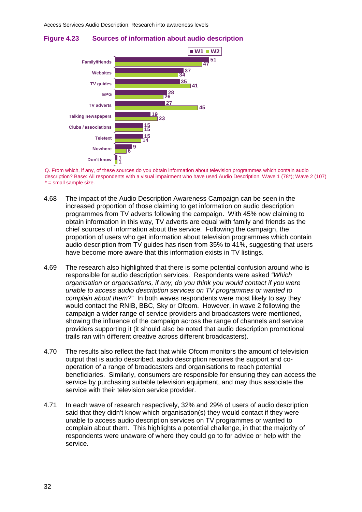



Q. From which, if any, of these sources do you obtain information about television programmes which contain audio description? Base: All respondents with a visual impairment who have used Audio Description. Wave 1 (78\*); Wave 2 (107)  $* =$  small sample size.

- 4.68 The impact of the Audio Description Awareness Campaign can be seen in the increased proportion of those claiming to get information on audio description programmes from TV adverts following the campaign. With 45% now claiming to obtain information in this way, TV adverts are equal with family and friends as the chief sources of information about the service. Following the campaign, the proportion of users who get information about television programmes which contain audio description from TV guides has risen from 35% to 41%, suggesting that users have become more aware that this information exists in TV listings.
- The research also highlighted that there is some potential confusion around who is responsible for audio description services. Respondents were asked *"Which organisation or organisations, if any, do you think you would contact if you were unable to access audio description services on TV programmes or wanted to complain about them?*" In both waves respondents were most likely to say they would contact the RNIB, BBC, Sky or Ofcom. However, in wave 2 following the campaign a wider range of service providers and broadcasters were mentioned, showing the influence of the campaign across the range of channels and service providers supporting it (it should also be noted that audio description promotional trails ran with different creative across different broadcasters). 4.69
- 4.70 The results also reflect the fact that while Ofcom monitors the amount of television output that is audio described, audio description requires the support and cooperation of a range of broadcasters and organisations to reach potential beneficiaries. Similarly, consumers are responsible for ensuring they can access the service by purchasing suitable television equipment, and may thus associate the service with their television service provider.
- 4.71 said that they didn't know which organisation(s) they would contact if they were unable to access audio description services on TV programmes or wanted to complain about them. This highlights a potential challenge, in that the majority of respondents were unaware of where they could go to for advice or help with the service. In each wave of research respectively, 32% and 29% of users of audio description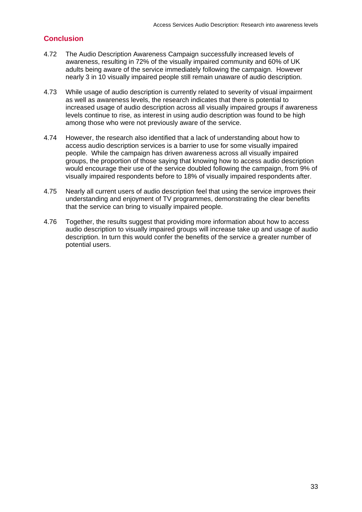# **Conclusion**

- 4.72 The Audio Description Awareness Campaign successfully increased levels of awareness, resulting in 72% of the visually impaired community and 60% of UK adults being aware of the service immediately following the campaign. However nearly 3 in 10 visually impaired people still remain unaware of audio description.
- 4.73 While usage of audio description is currently related to severity of visual impairment as well as awareness levels, the research indicates that there is potential to increased usage of audio description across all visually impaired groups if awareness levels continue to rise, as interest in using audio description was found to be high among those who were not previously aware of the service.
- 4.74 However, the research also identified that a lack of understanding about how to access audio description services is a barrier to use for some visually impaired people. While the campaign has driven awareness across all visually impaired groups, the proportion of those saying that knowing how to access audio description would encourage their use of the service doubled following the campaign, from 9% of visually impaired respondents before to 18% of visually impaired respondents after.
- 4.75 Nearly all current users of audio description feel that using the service improves their understanding and enjoyment of TV programmes, demonstrating the clear benefits that the service can bring to visually impaired people.
- 4.76 audio description to visually impaired groups will increase take up and usage of audio Together, the results suggest that providing more information about how to access description. In turn this would confer the benefits of the service a greater number of potential users.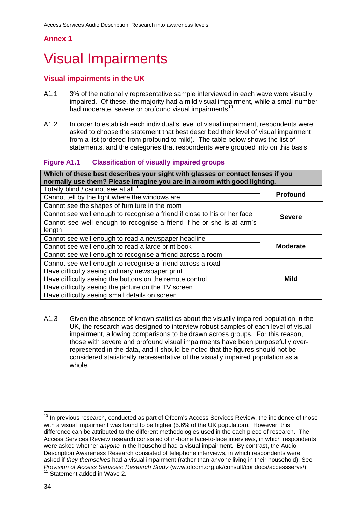## **Annex 1**

# Visual Impairments

# **Visual impairments in the UK**

- A1.1 3% of the nationally representative sample interviewed in each wave were visually impaired. Of these, the majority had a mild visual impairment, while a small number had moderate, severe or profound visual impairments<sup>10</sup>.
- A1.2 In order to establish each individual's level of visual impairment, respondents were asked to choose the statement that best described their level of visual impairment statements, and the categories that respondents were grouped into on this basis: from a list (ordered from profound to mild). The table below shows the list of

#### **Figure Classification of visually impaired groups**

| Which of these best describes your sight with glasses or contact lenses if you |                 |  |
|--------------------------------------------------------------------------------|-----------------|--|
| normally use them? Please imagine you are in a room with good lighting.        |                 |  |
| Totally blind / cannot see at all <sup>11</sup>                                |                 |  |
| Cannot tell by the light where the windows are                                 | <b>Profound</b> |  |
| Cannot see the shapes of furniture in the room                                 |                 |  |
| Cannot see well enough to recognise a friend if close to his or her face       | <b>Severe</b>   |  |
| Cannot see well enough to recognise a friend if he or she is at arm's          |                 |  |
| length                                                                         |                 |  |
| Cannot see well enough to read a newspaper headline                            |                 |  |
| Cannot see well enough to read a large print book<br><b>Moderate</b>           |                 |  |
| Cannot see well enough to recognise a friend across a room                     |                 |  |
| Cannot see well enough to recognise a friend across a road                     |                 |  |
| Have difficulty seeing ordinary newspaper print                                |                 |  |
| Mild<br>Have difficulty seeing the buttons on the remote control               |                 |  |
| Have difficulty seeing the picture on the TV screen                            |                 |  |
| Have difficulty seeing small details on screen                                 |                 |  |

A1.3 Given the absence of known statistics about the visually impaired population in the UK, the research was designed to interview robust samples of each level of visual impairment, allowing comparisons to be drawn across groups. For this reason, those with severe and profound visual impairments have been purposefully overrepresented in the data, and it should be noted that the figures should not be considered statistically representative of the visually impaired population as a whole.

<sup>1</sup>  $10$  In previous research, conducted as part of Ofcom's Access Services Review, the incidence of those with a visual impairment was found to be higher (5.6% of the UK population). However, this difference can be attributed to the different methodologies used in the each piece of research. The Access Services Review research consisted of in-home face-to-face interviews, in which respondents were asked whether *anyone* in the household had a visual impairment. By contrast, the Audio Description Awareness Research consisted of telephone interviews, in which respondents were asked if *they themselves* had a visual impairment (rather than anyone living in their household). See *Provision of Access Services: Research Study* (www.ofcom.org.uk/consult/condocs/accessservs/).<br><sup>11</sup> Statement added in Wave 2.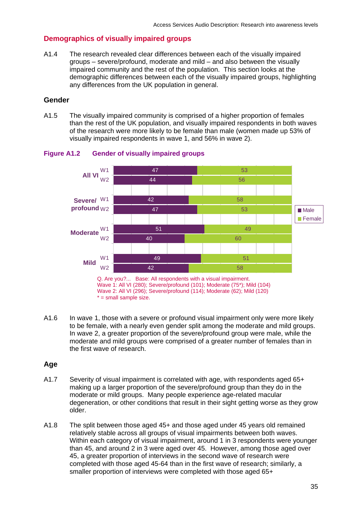# **Demographics of visually impaired groups**

A1.4 The research revealed clear differences between each of the visually impaired groups – severe/profound, moderate and mild – and also between the visually impaired community and the rest of the population. This section looks at the demographic differences between each of the visually impaired groups, highlighting any differences from the UK population in general.

## **Gender**

A1.5 The visually impaired community is comprised of a higher proportion of females than the rest of the UK population, and visually impaired respondents in both waves of the research were more likely to be female than male (women made up 53% of visually impaired respondents in wave 1, and 56% in wave 2).



### **Figure A1.2 Gender of visually impaired groups**

 to be female, with a nearly even gender split among the moderate and mild groups. In wave 2, a greater proportion of the severe/profound group were male, while the A1.6 In wave 1, those with a severe or profound visual impairment only were more likely moderate and mild groups were comprised of a greater number of females than in the first wave of research.

# **Age**

- A1.7 Severity of visual impairment is correlated with age, with respondents aged 65+ making up a larger proportion of the severe/profound group than they do in the moderate or mild groups. Many people experience age-related macular degeneration, or other conditions that result in their sight getting worse as they grow older.
- A1.8 The split between those aged 45+ and those aged under 45 years old remained than 45, and around 2 in 3 were aged over 45. However, among those aged over relatively stable across all groups of visual impairments between both waves. Within each category of visual impairment, around 1 in 3 respondents were younger 45, a greater proportion of interviews in the second wave of research were completed with those aged 45-64 than in the first wave of research; similarly, a smaller proportion of interviews were completed with those aged 65+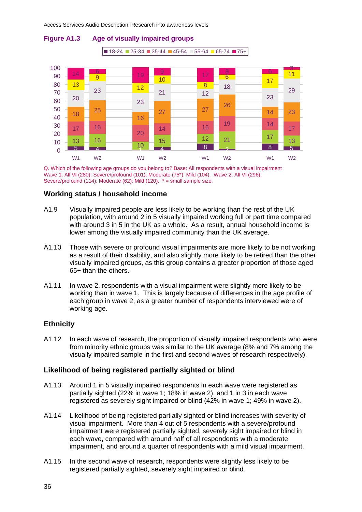

# **Figure A1.3 Age of visually impaired groups**

Q. Which of the following age groups do you belong to? Base: All respondents with a visual impairment Wave 1: All VI (280); Severe/profound (101); Moderate (75\*); Mild (104). Wave 2: All VI (296); Severe/profound (114); Moderate (62); Mild (120). \* = small sample size.

#### **Working status / household income**

- A1.9 Visually impaired people are less likely to be working than the rest of the UK population, with around 2 in 5 visually impaired working full or part time compared with around 3 in 5 in the UK as a whole. As a result, annual household income is lower among the visually impaired community than the UK average.
- A1.10 Those with severe or profound visual impairments are more likely to be not working as a result of their disability, and also slightly more likely to be retired than the other visually impaired groups, as this group contains a greater proportion of those aged 65+ than the others.
- A1.11 In wave 2, respondents with a visual impairment were slightly more likely to be working than in wave 1. This is largely because of differences in the age profile of each group in wave 2, as a greater number of respondents interviewed were of working age.

# **Ethnicity**

A1.12 visually impaired sample in the first and second waves of research respectively). In each wave of research, the proportion of visually impaired respondents who were from minority ethnic groups was similar to the UK average (8% and 7% among the

#### Likelihood of being registered partially sighted or blind

- A1.13 Around 1 in 5 visually impaired respondents in each wave were registered as partially sighted (22% in wave 1; 18% in wave 2), and 1 in 3 in each wave registered as severely sight impaired or blind (42% in wave 1; 49% in wave 2).
- A1.14 Likelihood of being registered partially sighted or blind increases with severity of visual impairment. More than 4 out of 5 respondents with a severe/profound impairment were registered partially sighted, severely sight impaired or blind in each wave, compared with around half of all respondents with a moderate impairment, and around a quarter of respondents with a mild visual impairment.
- A1.15 In the second wave of research, respondents were slightly less likely to be registered partially sighted, severely sight impaired or blind.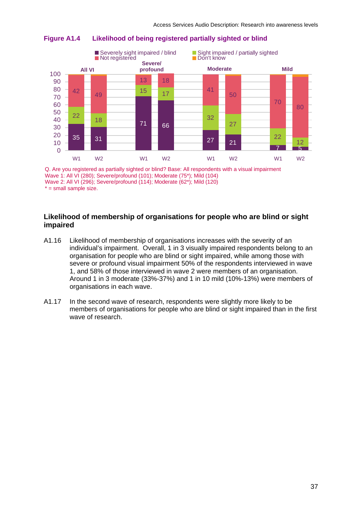

#### **Figure A1.4 Likelihood of being registered partially sighted or blind**

Q. Are you registered as partially sighted or blind? Base: All respondents with a visual impairment Wave 1: All VI (280); Severe/profound (101); Moderate (75\*); Mild (104) Wave 2: All VI (296); Severe/profound (114); Moderate (62\*); Mild (120)  $* =$  small sample size.

### **Likeliho od of membership of organisations for people who are blind or sight impaire d**

- A1.16 Likelihood of membership of organisations increases with the severity of an 1, and 58% of those interviewed in wave 2 were members of an organisation. Around 1 in 3 moderate (33%-37%) and 1 in 10 mild (10%-13%) were members of individual's impairment. Overall, 1 in 3 visually impaired respondents belong to an organisation for people who are blind or sight impaired, while among those with severe or profound visual impairment 50% of the respondents interviewed in wave organisations in each wave.
- A1.17 members of organisations for people who are blind or sight impaired than in the first wave of research. In the second wave of research, respondents were slightly more likely to be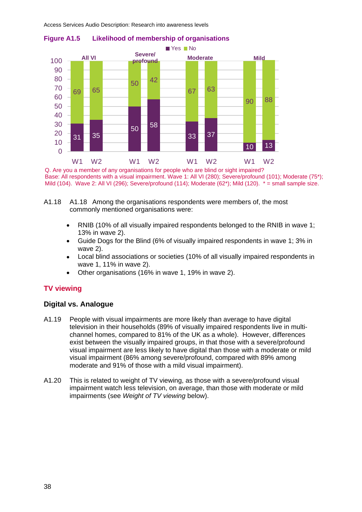Access Services Audio Description: Research into awareness levels



#### **Figure A1.5 Likelihood of membership of organisations**

Q. Are you a member of any organisations for people who are blind or sight impaired? Base: All respondents with a visual impairment. Wave 1: All VI (280); Severe/profound (101); Moderate (75\*); Mild (104). Wave 2: All VI (296); Severe/profound (114); Moderate (62\*); Mild (120). \* = small sample size.

- commonly mentioned organisations were: A1.18 A1.18 Among the organisations respondents were members of, the most
	- RNIB (10% of all visually impaired respondents belonged to the RNIB in wave 1; 13% in wave 2). •
	- Guide Dogs for the Blind (6% of visually impaired respondents in wave 1; 3% in wave 2).
	- Local blind associations or societies (10% of all visually impaired respondents in wave 1, 11% in wave 2).
	- Other organisations (16% in wave 1, 19% in wave 2).

# **TV viewing**

# **Digital vs. Analogue**

- A1.19 People with visual impairments are more likely than average to have digital television in their households (89% of visually impaired respondents live in multichannel homes, compared to 81% of the UK as a whole). However, differences exist between the visually impaired groups, in that those with a severe/profound visual impairment are less likely to have digital than those with a moderate or mild visual impairment (86% among severe/profound, compared with 89% among moderate and 91% of those with a mild visual impairment).
- A1.20 This is related to weight of TV viewing, as those with a severe/profound visual impairment watch less television, on average, than those with moderate or mild impairments (see *Weight of TV viewing* below).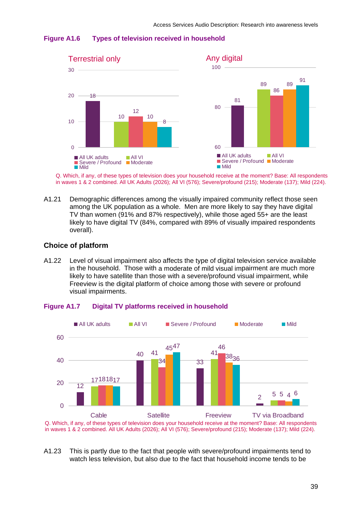



Q. Which, if any, of these types of television does your household receive at the moment? Base: All respondents in waves 1 & 2 combined. All UK Adults (2026); All VI (576); Severe/profound (215); Moderate (137); Mild (224).

A1.21 Demographic differences among the visually impaired community reflect those seen among the UK population as a whole. Men are more likely to say they have digital TV than women (91% and 87% respectively), while those aged 55+ are the least likely to have digital TV (84%, compared with 89% of visually impaired respondents overall).

### **Choice of platform**

A1.22 in the household. Those with a moderate of mild visual impairment are much more likely to have satellite than those with a severe/profound visual impairment, while Freeview is the digital platform of choice among those with severe or profound visual impairments. Level of visual impairment also affects the type of digital television service available



#### **Digital TV platforms received in household Figure A1.7**

Q. Which, if any, of these types of television does your household receive at the moment? Base: All respondents in waves 1 & 2 combined. All UK Adults (2026); All VI (576); Severe/profound (215); Moderate (137); Mild (224).

A1.23 This is partly due to the fact that people with severe/profound impairments tend to watch less television, but also due to the fact that household income tends to be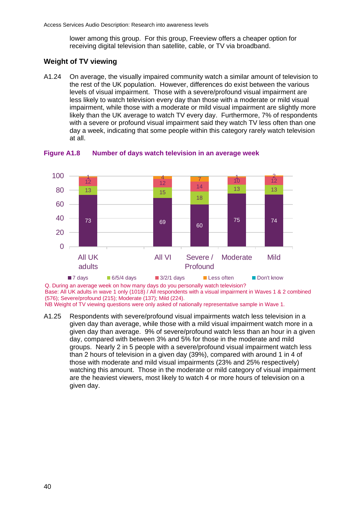lower among this group. For this group, Freeview offers a cheaper option for receiving digital television than satellite, cable, or TV via broadband.

# **We ight of TV viewing**

A1.24 On average, the visually impaired community watch a similar amount of television to the rest of the UK population. However, differences do exist between the various levels of visual impairment. Those with a severe/profound visual impairment are less likely to watch television every day than those with a moderate or mild visual impairment, while those with a moderate or mild visual impairment are slightly more likely than the UK average to watch TV every day. Furthermore, 7% of respondents with a severe or profound visual impairment said they watch TV less often than one day a week, indicating that some people within this category rarely watch television at all.



#### **Figure A1.8 Number of days watch television in an average week**

Q. During an average week on how many days do you personally watch television? Base: All UK adults in wave 1 only (1018) / All respondents with a visual impairment in Waves 1 & 2 combined (576); Severe/profound (215); Moderate (137); Mild (224). NB Weight of TV viewing questions were only asked of nationally representative sample in Wave 1.

A1.25 Respondents with severe/profound visual impairments watch less television in a given day than average, while those with a mild visual impairment watch more in a given day than average. 9% of severe/profound watch less than an hour in a given day, compared with between 3% and 5% for those in the moderate and mild groups. Nearly 2 in 5 people with a severe/profound visual impairment watch less than 2 hours of television in a given day (39%), compared with around 1 in 4 of those with moderate and mild visual impairments (23% and 25% respectively) watching this amount. Those in the moderate or mild category of visual impairment are the heaviest viewers, most likely to watch 4 or more hours of television on a given day.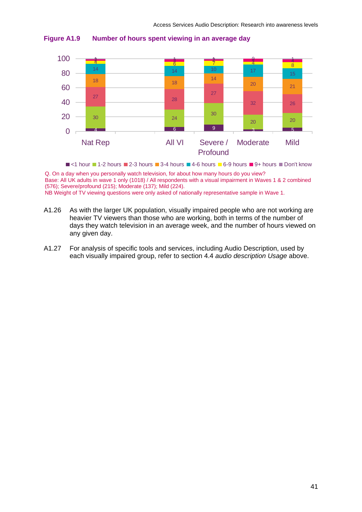



 $\blacksquare$  <1 hour  $\blacksquare$  1-2 hours  $\blacksquare$  2-3 hours  $\blacksquare$  3-4 hours  $\blacksquare$  4-6 hours  $\blacksquare$  6-9 hours  $\blacksquare$  9+ hours  $\blacksquare$  Don't know Q. On a day when you personally watch television, for about how many hours do you view? Base: All UK adults in wave 1 only (1018) / All respondents with a visual impairment in Waves 1 & 2 combined (576); Severe/profound (215); Moderate (137); Mild (224).

NB Weight of TV viewing questions were only asked of nationally representative sample in Wave 1.

- A1.26 As with the larger UK population, visually impaired people who are not working are heavier TV viewers than those who are working, both in terms of the number of days they watch television in an average week, and the number of hours viewed on any given day.
- A1.27 For analysis of specific tools and services, including Audio Description, used by each visually impaired group, refer to section 4.4 *audio description Usage* above.